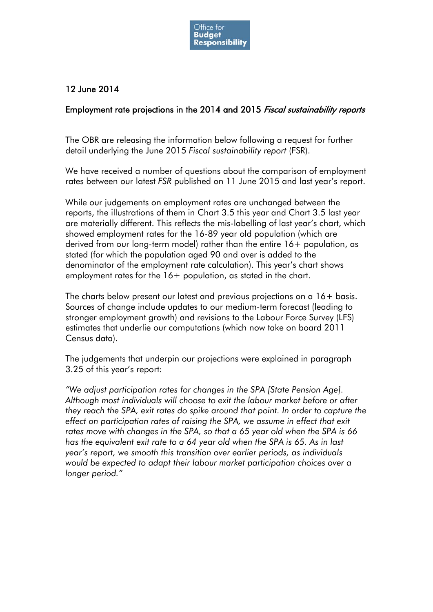

## 12 June 2014

## Employment rate projections in the 2014 and 2015 Fiscal sustainability reports

The OBR are releasing the information below following a request for further detail underlying the June 2015 *Fiscal sustainability report* (FSR).

We have received a number of questions about the comparison of employment rates between our latest *FSR* published on 11 June 2015 and last year's report.

While our judgements on employment rates are unchanged between the reports, the illustrations of them in Chart 3.5 this year and Chart 3.5 last year are materially different. This reflects the mis-labelling of last year's chart, which showed employment rates for the 16-89 year old population (which are derived from our long-term model) rather than the entire 16+ population, as stated (for which the population aged 90 and over is added to the denominator of the employment rate calculation). This year's chart shows employment rates for the 16+ population, as stated in the chart.

The charts below present our latest and previous projections on a 16+ basis. Sources of change include updates to our medium-term forecast (leading to stronger employment growth) and revisions to the Labour Force Survey (LFS) estimates that underlie our computations (which now take on board 2011 Census data).

The judgements that underpin our projections were explained in paragraph 3.25 of this year's report:

*"We adjust participation rates for changes in the SPA [State Pension Age]. Although most individuals will choose to exit the labour market before or after they reach the SPA, exit rates do spike around that point. In order to capture the effect on participation rates of raising the SPA, we assume in effect that exit rates move with changes in the SPA, so that a 65 year old when the SPA is 66 has the equivalent exit rate to a 64 year old when the SPA is 65. As in last year's report, we smooth this transition over earlier periods, as individuals would be expected to adapt their labour market participation choices over a longer period."*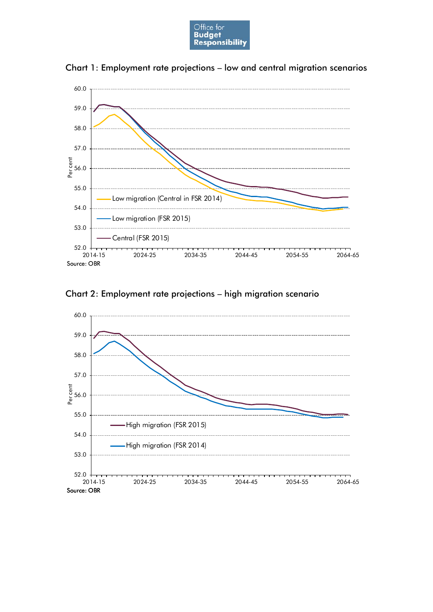